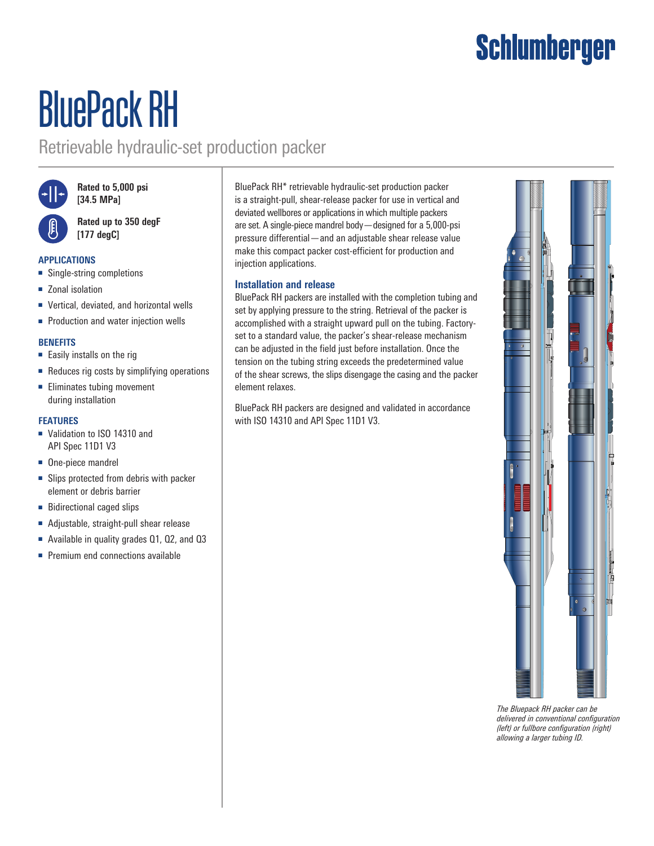## **Schlumberger**

# BluePack RH

### Retrievable hydraulic-set production packer



**Rated to 5,000 psi [34.5 MPa]**

**Rated up to 350 degF [177 degC]**

#### **APPLICATIONS**

- Single-string completions
- Zonal isolation
- Vertical, deviated, and horizontal wells
- Production and water injection wells

#### **BENEFITS**

- Easily installs on the rig
- Reduces rig costs by simplifying operations
- Eliminates tubing movement during installation

#### **FEATURES**

- Validation to ISO 14310 and API Spec 11D1 V3
- One-piece mandrel
- Slips protected from debris with packer element or debris barrier
- Bidirectional caged slips
- Adjustable, straight-pull shear release
- Available in quality grades 01, 02, and 03
- Premium end connections available

BluePack RH\* retrievable hydraulic-set production packer is a straight-pull, shear-release packer for use in vertical and deviated wellbores or applications in which multiple packers are set. A single-piece mandrel body—designed for a 5,000-psi pressure differential—and an adjustable shear release value make this compact packer cost-efficient for production and injection applications.

#### **Installation and release**

BluePack RH packers are installed with the completion tubing and set by applying pressure to the string. Retrieval of the packer is accomplished with a straight upward pull on the tubing. Factoryset to a standard value, the packer's shear-release mechanism can be adjusted in the field just before installation. Once the tension on the tubing string exceeds the predetermined value of the shear screws, the slips disengage the casing and the packer element relaxes.

BluePack RH packers are designed and validated in accordance with ISO 14310 and API Spec 11D1 V3.



*The Bluepack RH packer can be delivered in conventional configuration (left) or fullbore configuration (right) allowing a larger tubing ID.*